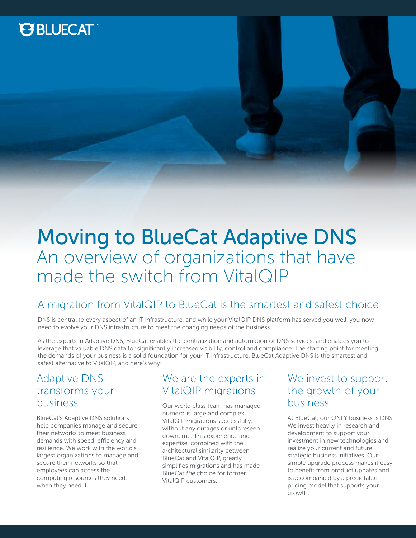## **PSBLUECAT**

## Moving to BlueCat Adaptive DNS An overview of organizations that have made the switch from VitalQIP

### A migration from VitalQIP to BlueCat is the smartest and safest choice

DNS is central to every aspect of an IT infrastructure, and while your VitalQIP DNS platform has served you well, you now need to evolve your DNS infrastructure to meet the changing needs of the business.

As the experts in Adaptive DNS, BlueCat enables the centralization and automation of DNS services, and enables you to leverage that valuable DNS data for significantly increased visibility, control and compliance. The starting point for meeting the demands of your business is a solid foundation for your IT infrastructure. BlueCat Adaptive DNS is the smartest and safest alternative to VitalQIP, and here's why:

### Adaptive DNS transforms your business

BlueCat's Adaptive DNS solutions help companies manage and secure their networks to meet business demands with speed, efficiency and resilience. We work with the world's largest organizations to manage and secure their networks so that employees can access the computing resources they need, when they need it.

### We are the experts in VitalQIP migrations

Our world class team has managed numerous large and complex VitalQIP migrations successfully, without any outages or unforeseen downtime. This experience and expertise, combined with the architectural similarity between BlueCat and VitalQIP, greatly simplifies migrations and has made BlueCat the choice for former VitalQIP customers.

### We invest to support the growth of your business

At BlueCat, our ONLY business is DNS. We invest heavily in research and development to support your investment in new technologies and realize your current and future strategic business initiatives. Our simple upgrade process makes it easy to benefit from product updates and is accompanied by a predictable pricing model that supports your growth.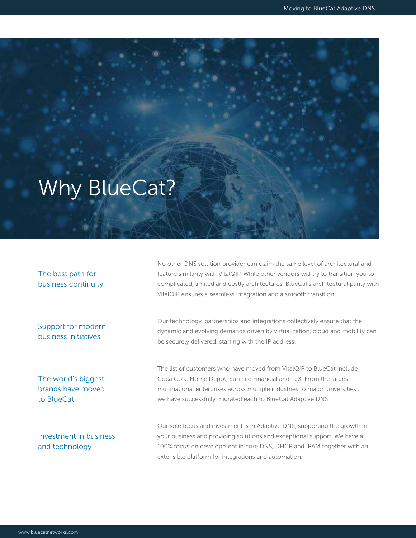# Why BlueCat?

The best path for business continuity

Support for modern business initiatives

The world's biggest brands have moved to BlueCat

No other DNS solution provider can claim the same level of architectural and feature similarity with VitalQIP. While other vendors will try to transition you to complicated, limited and costly architectures, BlueCat's architectural parity with VitalQIP ensures a seamless integration and a smooth transition.

Our technology, partnerships and integrations collectively ensure that the dynamic and evolving demands driven by virtualization, cloud and mobility can be securely delivered, starting with the IP address.

The list of customers who have moved from VitalQIP to BlueCat include Coca Cola, Home Depot, Sun Life Financial and TJX. From the largest multinational enterprises across multiple industries to major universities , we have successfully migrated each to BlueCat Adaptive DNS

Investment in business and technology

Our sole focus and investment is in Adaptive DNS, supporting the growth in your business and providing solutions and exceptional support. We have a 100% focus on development in core DNS, DHCP and IPAM together with an extensible platform for integrations and automation.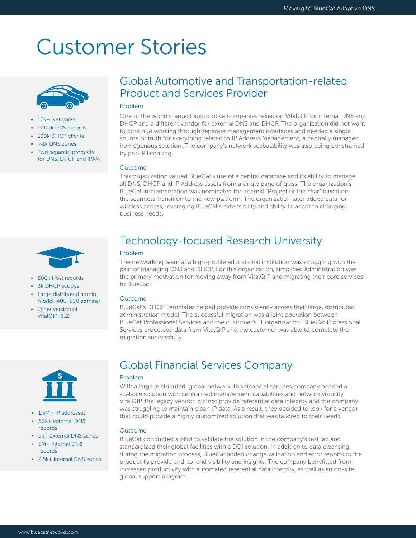## Customer Stories



- 10k+ Networks
- ~200k DNS records
- 100k DHCP clients
- $~\sim$ 1k DNS zones
- Two separate products for DNS, DHCP and IPAM

### Global Automotive and Transportation-related Product and Services Provider

### Problem

One of the world's largest automotive companies relied on VitalQIP for internal DNS and DHCP and a different vendor for external DNS and DHCP. The organization did not want to continue working through separate management interfaces and needed a single source of truth for everything related to IP Address Management; a centrally managed homogenous solution. The company's network scabalability was also being constrained by per-IP licensing.

#### **Outcome**

This organization valued BlueCat's use of a central database and its ability to manage all DNS, DHCP and IP Address assets from a single pane of glass. The organization's BlueCat implementation was nominated for internal "Project of the Year" based on the seamless transition to the new platform. The organization later added data for wireless access, leveraging BlueCat's extensibility and ability to adapt to changing business needs.

- 200k Host records
- 3k DHCP scopes
- Large distributed admin model (400-500 admins)
- Older version of VitalQIP (6.2)



- 1.5M+ IP addresses
- 60k+ external DNS records
- 9k+ external DNS zones
- 3M+ internal DNS records
- 2.5k+ internal DNS zones

### Technology-focused Research University

#### Problem

The networking team at a high-profile educational institution was struggling with the pain of managing DNS and DHCP. For this organization, simplified administration was the primary motivation for moving away from VitalQIP and migrating their core services to BlueCat.

### Outcome

BlueCat's DHCP Templates helped provide consistency across their large, distributed administration model. The successful migration was a joint operation between BlueCat Professional Services and the customer's IT organization. BlueCat Professional Services processed data from VitalQIP and the customer was able to complete the migration successfully.

### Global Financial Services Company

#### Problem

With a large, distributed, global network, this financial services company needed a scalable solution with centralized management capabilities and network visibility. VitalQIP, the legacy vendor, did not provide referential data integrity and the company was struggling to maintain clean IP data. As a result, they decided to look for a vendor that could provide a highly customized solution that was tailored to their needs.

#### Outcome

BlueCat conducted a pilot to validate the solution in the company's test lab and standardized their global facilities with a DDI solution. In addition to data cleansing during the migration process, BlueCat added change validation and error reports to the product to provide end-to-end visibility and insights. The company benefitted from increased productivity with automated referential data integrity, as well as an on-site global support program.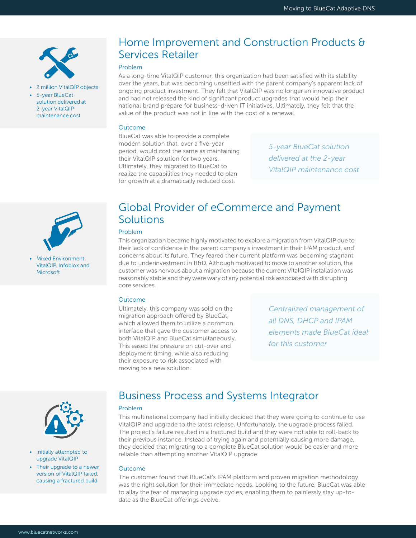

- 2 million VitalQIP objects
- 5-year BlueCat solution delivered at 2-year VitalQIP maintenance cost

## Home Improvement and Construction Products & Services Retailer

### Problem

As a long-time VitalQIP customer, this organization had been satisfied with its stability over the years, but was becoming unsettled with the parent company's apparent lack of ongoing product investment. They felt that VitalQIP was no longer an innovative product and had not released the kind of significant product upgrades that would help their national brand prepare for business-driven IT initiatives. Ultimately, they felt that the value of the product was not in line with the cost of a renewal.

#### Outcome

BlueCat was able to provide a complete modern solution that, over a five-year period, would cost the same as maintaining their VitalQIP solution for two years. Ultimately, they migrated to BlueCat to realize the capabilities they needed to plan for growth at a dramatically reduced cost.

*5-year BlueCat solution delivered at the 2-year VitalQIP maintenance cost*



• Mixed Environment: VitalQIP, Infoblox and **Microsoft** 

### Global Provider of eCommerce and Payment **Solutions**

### Problem

This organization became highly motivated to explore a migration from VitalQIP due to their lack of confidence in the parent company's investment in their IPAM product, and concerns about its future. They feared their current platform was becoming stagnant due to underinvestment in R&D. Although motivated to move to another solution, the customer was nervous about a migration because the current VitalQIP installation was reasonably stable and they were wary of any potential risk associated with disrupting core services.

#### **Outcome**

Ultimately, this company was sold on the migration approach offered by BlueCat, which allowed them to utilize a common interface that gave the customer access to both VitalQIP and BlueCat simultaneously. This eased the pressure on cut-over and deployment timing, while also reducing their exposure to risk associated with moving to a new solution.

*Centralized management of all DNS, DHCP and IPAM elements made BlueCat ideal for this customer*



- Initially attempted to upgrade VitalQIP
- Their upgrade to a newer version of VitalQIP failed, causing a fractured build

### Business Process and Systems Integrator

#### Problem

This multinational company had initially decided that they were going to continue to use VitalQIP and upgrade to the latest release. Unfortunately, the upgrade process failed. The project's failure resulted in a fractured build and they were not able to roll-back to their previous instance. Instead of trying again and potentially causing more damage, they decided that migrating to a complete BlueCat solution would be easier and more reliable than attempting another VitalQIP upgrade.

#### Outcome

The customer found that BlueCat's IPAM platform and proven migration methodology was the right solution for their immediate needs. Looking to the future, BlueCat was able to allay the fear of managing upgrade cycles, enabling them to painlessly stay up-todate as the BlueCat offerings evolve.